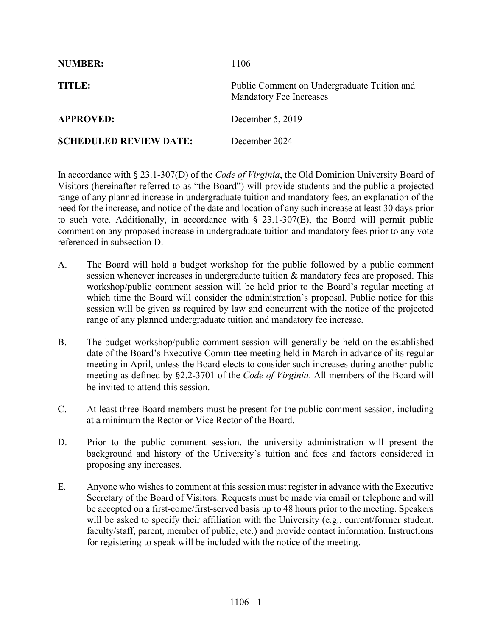| <b>NUMBER:</b>                | 1106                                                                          |
|-------------------------------|-------------------------------------------------------------------------------|
| TITLE:                        | Public Comment on Undergraduate Tuition and<br><b>Mandatory Fee Increases</b> |
| <b>APPROVED:</b>              | December 5, 2019                                                              |
| <b>SCHEDULED REVIEW DATE:</b> | December 2024                                                                 |

In accordance with § 23.1-307(D) of the *Code of Virginia*, the Old Dominion University Board of Visitors (hereinafter referred to as "the Board") will provide students and the public a projected range of any planned increase in undergraduate tuition and mandatory fees, an explanation of the need for the increase, and notice of the date and location of any such increase at least 30 days prior to such vote. Additionally, in accordance with  $\S$  23.1-307(E), the Board will permit public comment on any proposed increase in undergraduate tuition and mandatory fees prior to any vote referenced in subsection D.

- A. The Board will hold a budget workshop for the public followed by a public comment session whenever increases in undergraduate tuition & mandatory fees are proposed. This workshop/public comment session will be held prior to the Board's regular meeting at which time the Board will consider the administration's proposal. Public notice for this session will be given as required by law and concurrent with the notice of the projected range of any planned undergraduate tuition and mandatory fee increase.
- B. The budget workshop/public comment session will generally be held on the established date of the Board's Executive Committee meeting held in March in advance of its regular meeting in April, unless the Board elects to consider such increases during another public meeting as defined by §2.2-3701 of the *Code of Virginia*. All members of the Board will be invited to attend this session.
- C. At least three Board members must be present for the public comment session, including at a minimum the Rector or Vice Rector of the Board.
- D. Prior to the public comment session, the university administration will present the background and history of the University's tuition and fees and factors considered in proposing any increases.
- E. Anyone who wishes to comment at this session must register in advance with the Executive Secretary of the Board of Visitors. Requests must be made via email or telephone and will be accepted on a first-come/first-served basis up to 48 hours prior to the meeting. Speakers will be asked to specify their affiliation with the University (e.g., current/former student, faculty/staff, parent, member of public, etc.) and provide contact information. Instructions for registering to speak will be included with the notice of the meeting.